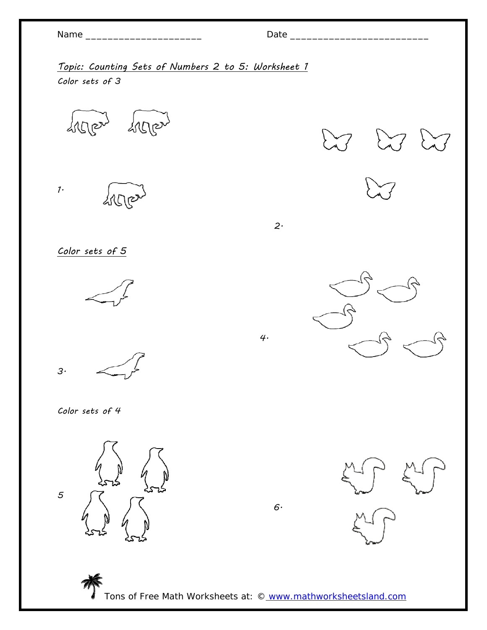| Name |  |
|------|--|
|------|--|

2.

Topic: Counting Sets of Numbers 2 to 5: Worksheet 1 Color sets of 3

4.

deposit deller

1. drege

Color sets of 5



3.

Color sets of 4

5

 $6.$ 

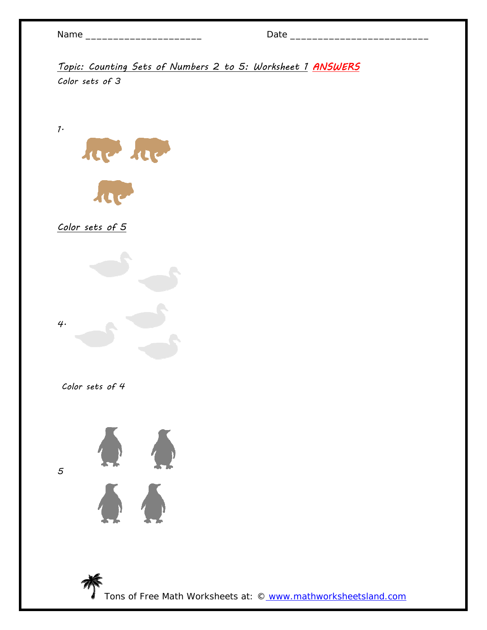1.

Topic: Counting Sets of Numbers 2 to 5: Worksheet 1 ANSWERS Color sets of 3



Color sets of 5



Color sets of 4

5



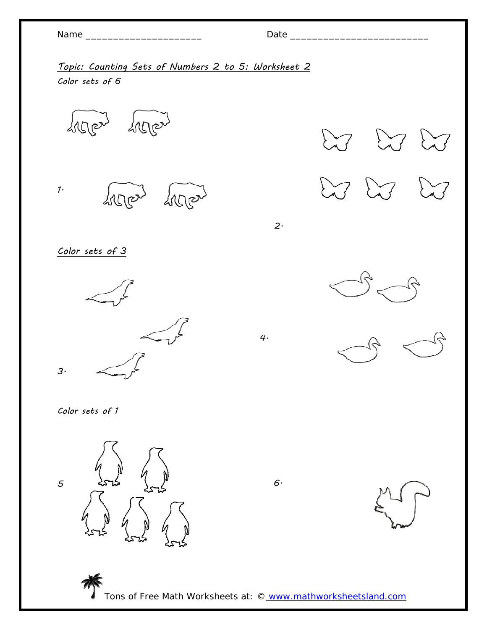Name \_\_\_\_\_\_\_\_\_\_\_\_\_\_\_\_\_\_\_\_\_ Date \_\_\_\_\_\_\_\_\_\_\_\_\_\_\_\_\_\_\_\_\_\_\_\_\_

Topic: Counting Sets of Numbers 2 to 5: Worksheet 2 Color sets of 6

deposit deller

1. deller deller

Color sets of 3



2.

 $\sum_{\lambda}$ 

 $\sum_{\lambda}$ 



 $\sum$ 

Color sets of 1



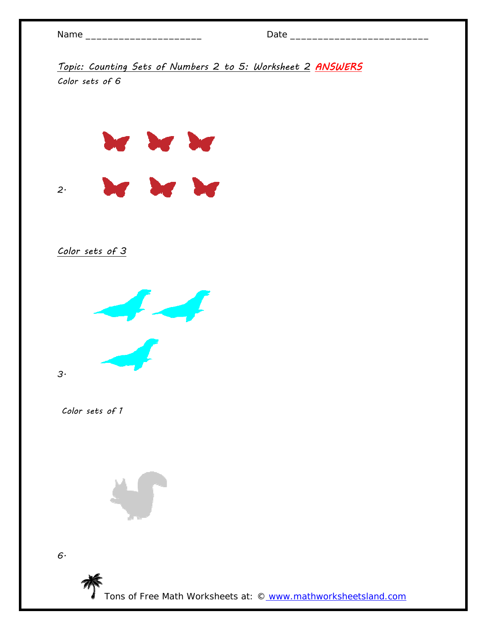| ı<br>г |  |
|--------|--|
|--------|--|

Topic: Counting Sets of Numbers 2 to 5: Worksheet 2 ANSWERS Color sets of 6

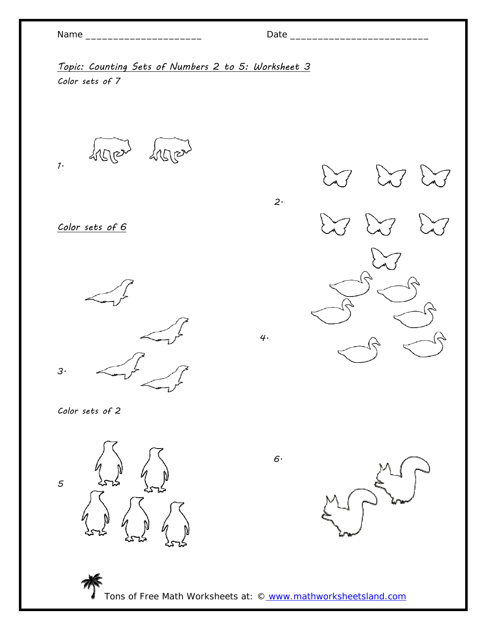| vam | $\cdot$ |
|-----|---------|
|-----|---------|

2.

Topic: Counting Sets of Numbers 2 to 5: Worksheet 3 Color sets of 7

depois here  $1.$ 

Color sets of 6

3.  $\leftarrow$  4.



Color sets of 2



 $6\cdot$ 

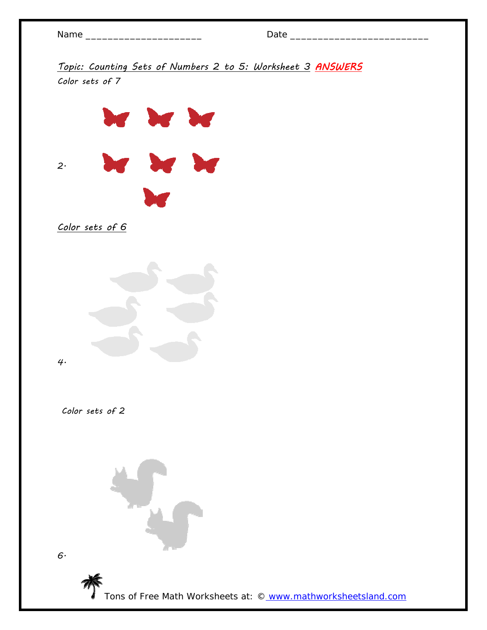Topic: Counting Sets of Numbers 2 to 5: Worksheet 3 ANSWERS Color sets of 7







Color sets of 2

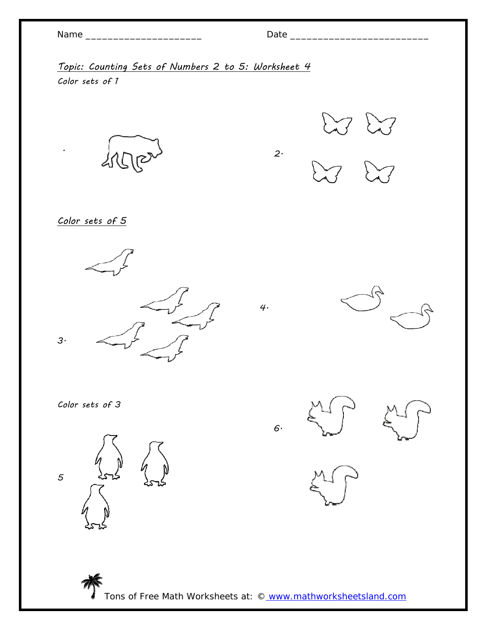| vam | ١E |
|-----|----|
|-----|----|

.

## Name \_\_\_\_\_\_\_\_\_\_\_\_\_\_\_\_\_\_\_\_\_ Date \_\_\_\_\_\_\_\_\_\_\_\_\_\_\_\_\_\_\_\_\_\_\_\_\_

2.

Topic: Counting Sets of Numbers 2 to 5: Worksheet 4 Color sets of 1



 $\bigcup$ 



Color sets of 5





Color sets of 3







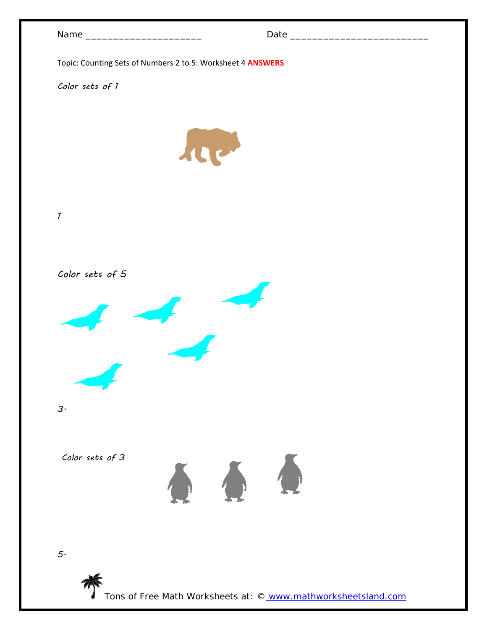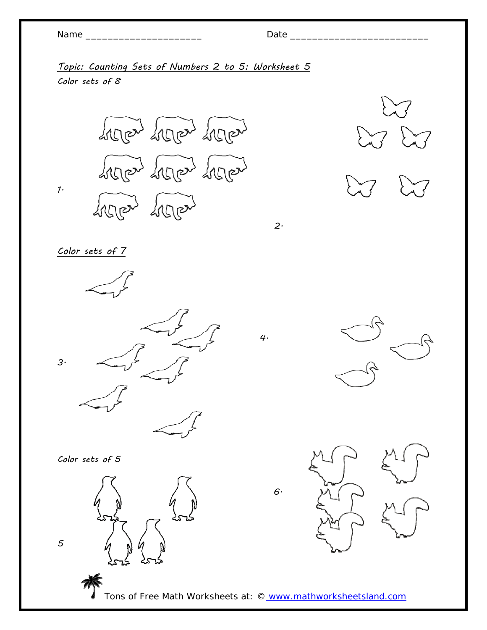1.

# Name \_\_\_\_\_\_\_\_\_\_\_\_\_\_\_\_\_\_\_\_\_ Date \_\_\_\_\_\_\_\_\_\_\_\_\_\_\_\_\_\_\_\_\_\_\_\_\_

Topic: Counting Sets of Numbers 2 to 5: Worksheet 5 Color sets of  $8$ 

SILLER SILLER SILLER Siercand Siercand Siercand thered thered



2.

Color sets of 7



Color sets of 5

5



 $6.$